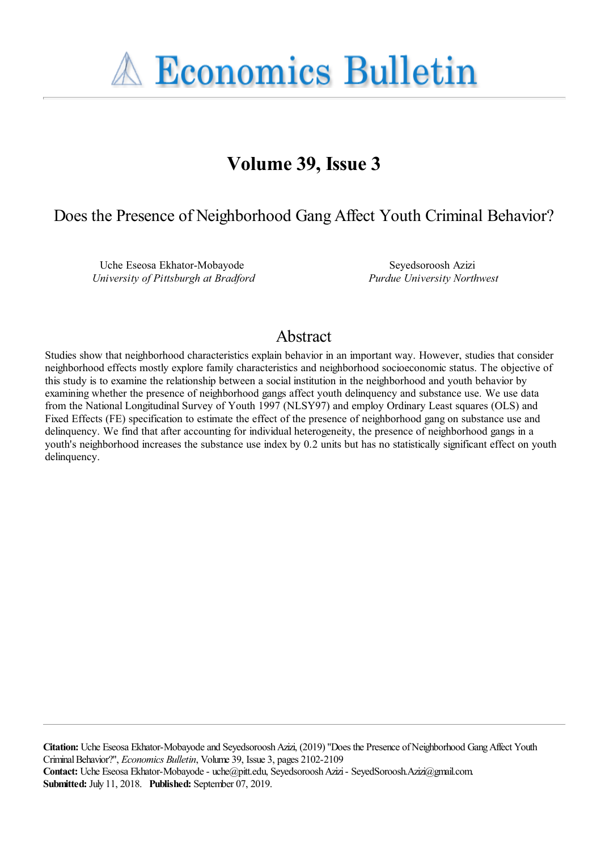**A Economics Bulletin** 

# **Volume 39, Issue 3**

## Does the Presence of Neighborhood Gang Affect Youth Criminal Behavior?

Uche Eseosa Ekhator-Mobayode *University of Pittsburgh at Bradford*

Seyedsoroosh Azizi *Purdue University Northwest*

## Abstract

Studies show that neighborhood characteristics explain behavior in an important way. However, studies that consider neighborhood effects mostly explore family characteristics and neighborhood socioeconomic status. The objective of this study is to examine the relationship between a social institution in the neighborhood and youth behavior by examining whether the presence of neighborhood gangs affect youth delinquency and substance use. We use data from the National Longitudinal Survey of Youth 1997 (NLSY97) and employ Ordinary Least squares (OLS) and Fixed Effects (FE) specification to estimate the effect of the presence of neighborhood gang on substance use and delinquency. We find that after accounting for individual heterogeneity, the presence of neighborhood gangs in a youth's neighborhood increases the substance use index by 0.2 units but has no statistically significant effect on youth delinquency.

**Citation:** Uche Eseosa Ekhator-Mobayode and Seyedsoroosh Azizi, (2019) ''Does the Presence of Neighborhood Gang Affect Youth Criminal Behavior?'', *Economics Bulletin*, Volume 39, Issue 3, pages 2102-2109 **Contact:** Uche Eseosa Ekhator-Mobayode - uche@pitt.edu, Seyedsoroosh Azizi - SeyedSoroosh.Azizi@gmail.com. **Submitted:** July 11, 2018. **Published:** September 07, 2019.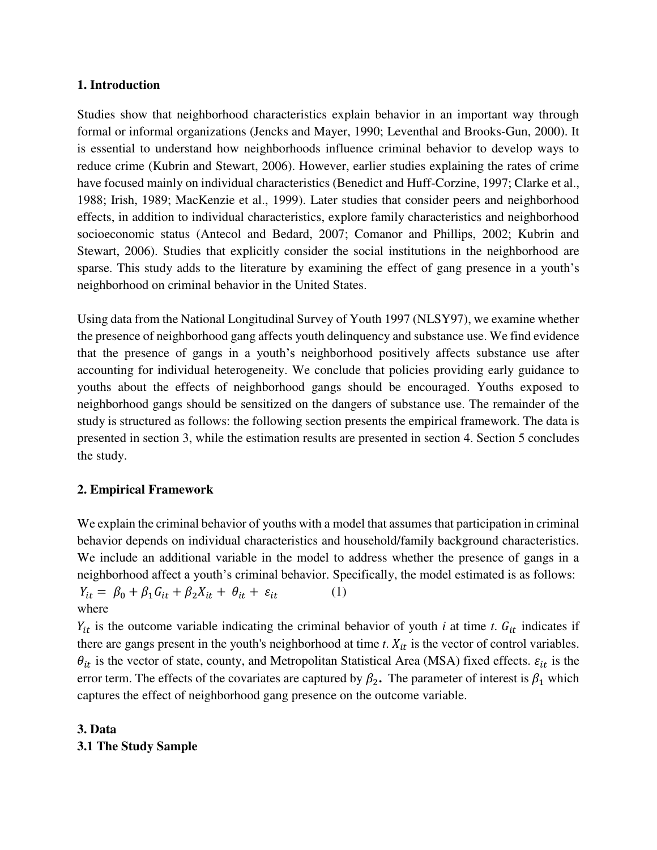## **1. Introduction**

Studies show that neighborhood characteristics explain behavior in an important way through formal or informal organizations (Jencks and Mayer, 1990; Leventhal and Brooks-Gun, 2000). It is essential to understand how neighborhoods influence criminal behavior to develop ways to reduce crime (Kubrin and Stewart, 2006). However, earlier studies explaining the rates of crime have focused mainly on individual characteristics (Benedict and Huff-Corzine, 1997; Clarke et al., 1988; Irish, 1989; MacKenzie et al., 1999). Later studies that consider peers and neighborhood effects, in addition to individual characteristics, explore family characteristics and neighborhood socioeconomic status (Antecol and Bedard, 2007; Comanor and Phillips, 2002; Kubrin and Stewart, 2006). Studies that explicitly consider the social institutions in the neighborhood are sparse. This study adds to the literature by examining the effect of gang presence in a youth's neighborhood on criminal behavior in the United States.

Using data from the National Longitudinal Survey of Youth 1997 (NLSY97), we examine whether the presence of neighborhood gang affects youth delinquency and substance use. We find evidence that the presence of gangs in a youth's neighborhood positively affects substance use after accounting for individual heterogeneity. We conclude that policies providing early guidance to youths about the effects of neighborhood gangs should be encouraged. Youths exposed to neighborhood gangs should be sensitized on the dangers of substance use. The remainder of the study is structured as follows: the following section presents the empirical framework. The data is presented in section 3, while the estimation results are presented in section 4. Section 5 concludes the study.

## **2. Empirical Framework**

We explain the criminal behavior of youths with a model that assumes that participation in criminal behavior depends on individual characteristics and household/family background characteristics. We include an additional variable in the model to address whether the presence of gangs in a neighborhood affect a youth's criminal behavior. Specifically, the model estimated is as follows:

 $Y_{it} = \beta_0 + \beta_1 G_{it} + \beta_2 X_{it} + \theta_{it} + \varepsilon_{it} \tag{1}$ where

 $Y_{it}$  is the outcome variable indicating the criminal behavior of youth *i* at time *t*.  $G_{it}$  indicates if there are gangs present in the youth's neighborhood at time  $t$ .  $X_{it}$  is the vector of control variables.  $\theta_{it}$  is the vector of state, county, and Metropolitan Statistical Area (MSA) fixed effects.  $\varepsilon_{it}$  is the error term. The effects of the covariates are captured by  $\beta_2$ . The parameter of interest is  $\beta_1$  which captures the effect of neighborhood gang presence on the outcome variable.

## **3. Data 3.1 The Study Sample**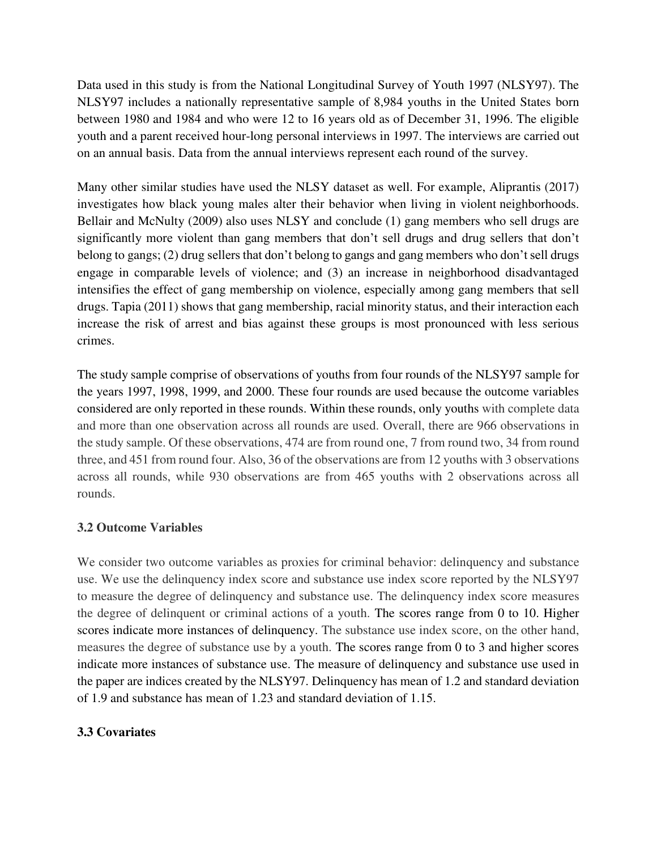Data used in this study is from the National Longitudinal Survey of Youth 1997 (NLSY97). The NLSY97 includes a nationally representative sample of 8,984 youths in the United States born between 1980 and 1984 and who were 12 to 16 years old as of December 31, 1996. The eligible youth and a parent received hour-long personal interviews in 1997. The interviews are carried out on an annual basis. Data from the annual interviews represent each round of the survey.

Many other similar studies have used the NLSY dataset as well. For example, Aliprantis (2017) investigates how black young males alter their behavior when living in violent neighborhoods. Bellair and McNulty (2009) also uses NLSY and conclude (1) gang members who sell drugs are significantly more violent than gang members that don't sell drugs and drug sellers that don't belong to gangs; (2) drug sellers that don't belong to gangs and gang members who don't sell drugs engage in comparable levels of violence; and (3) an increase in neighborhood disadvantaged intensifies the effect of gang membership on violence, especially among gang members that sell drugs. Tapia (2011) shows that gang membership, racial minority status, and their interaction each increase the risk of arrest and bias against these groups is most pronounced with less serious crimes.

The study sample comprise of observations of youths from four rounds of the NLSY97 sample for the years 1997, 1998, 1999, and 2000. These four rounds are used because the outcome variables considered are only reported in these rounds. Within these rounds, only youths with complete data and more than one observation across all rounds are used. Overall, there are 966 observations in the study sample. Of these observations, 474 are from round one, 7 from round two, 34 from round three, and 451 from round four. Also, 36 of the observations are from 12 youths with 3 observations across all rounds, while 930 observations are from 465 youths with 2 observations across all rounds.

## **3.2 Outcome Variables**

We consider two outcome variables as proxies for criminal behavior: delinquency and substance use. We use the delinquency index score and substance use index score reported by the NLSY97 to measure the degree of delinquency and substance use. The delinquency index score measures the degree of delinquent or criminal actions of a youth. The scores range from 0 to 10. Higher scores indicate more instances of delinquency. The substance use index score, on the other hand, measures the degree of substance use by a youth. The scores range from 0 to 3 and higher scores indicate more instances of substance use. The measure of delinquency and substance use used in the paper are indices created by the NLSY97. Delinquency has mean of 1.2 and standard deviation of 1.9 and substance has mean of 1.23 and standard deviation of 1.15.

## **3.3 Covariates**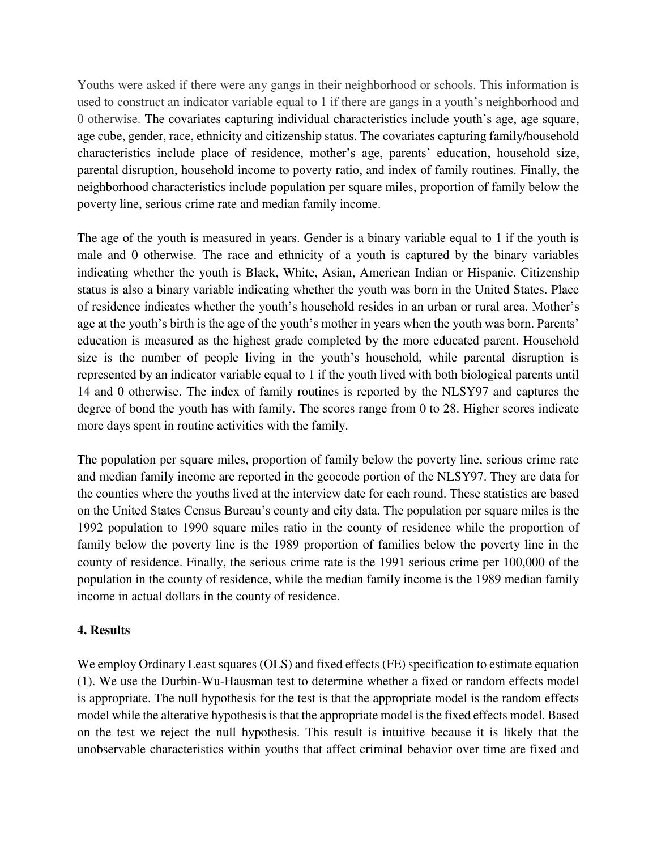Youths were asked if there were any gangs in their neighborhood or schools. This information is used to construct an indicator variable equal to 1 if there are gangs in a youth's neighborhood and 0 otherwise. The covariates capturing individual characteristics include youth's age, age square, age cube, gender, race, ethnicity and citizenship status. The covariates capturing family/household characteristics include place of residence, mother's age, parents' education, household size, parental disruption, household income to poverty ratio, and index of family routines. Finally, the neighborhood characteristics include population per square miles, proportion of family below the poverty line, serious crime rate and median family income.

The age of the youth is measured in years. Gender is a binary variable equal to 1 if the youth is male and 0 otherwise. The race and ethnicity of a youth is captured by the binary variables indicating whether the youth is Black, White, Asian, American Indian or Hispanic. Citizenship status is also a binary variable indicating whether the youth was born in the United States. Place of residence indicates whether the youth's household resides in an urban or rural area. Mother's age at the youth's birth is the age of the youth's mother in years when the youth was born. Parents' education is measured as the highest grade completed by the more educated parent. Household size is the number of people living in the youth's household, while parental disruption is represented by an indicator variable equal to 1 if the youth lived with both biological parents until 14 and 0 otherwise. The index of family routines is reported by the NLSY97 and captures the degree of bond the youth has with family. The scores range from 0 to 28. Higher scores indicate more days spent in routine activities with the family.

The population per square miles, proportion of family below the poverty line, serious crime rate and median family income are reported in the geocode portion of the NLSY97. They are data for the counties where the youths lived at the interview date for each round. These statistics are based on the United States Census Bureau's county and city data. The population per square miles is the 1992 population to 1990 square miles ratio in the county of residence while the proportion of family below the poverty line is the 1989 proportion of families below the poverty line in the county of residence. Finally, the serious crime rate is the 1991 serious crime per 100,000 of the population in the county of residence, while the median family income is the 1989 median family income in actual dollars in the county of residence.

## **4. Results**

We employ Ordinary Least squares (OLS) and fixed effects (FE) specification to estimate equation (1). We use the Durbin-Wu-Hausman test to determine whether a fixed or random effects model is appropriate. The null hypothesis for the test is that the appropriate model is the random effects model while the alterative hypothesis is that the appropriate model is the fixed effects model. Based on the test we reject the null hypothesis. This result is intuitive because it is likely that the unobservable characteristics within youths that affect criminal behavior over time are fixed and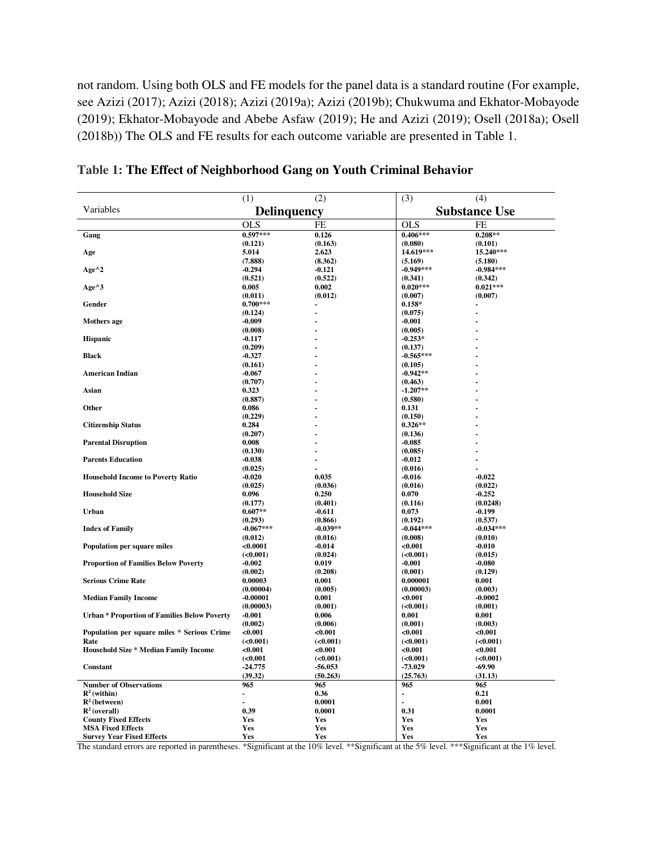not random. Using both OLS and FE models for the panel data is a standard routine (For example, see Azizi (2017); Azizi (2018); Azizi (2019a); Azizi (2019b); Chukwuma and Ekhator-Mobayode (2019); Ekhator-Mobayode and Abebe Asfaw (2019); He and Azizi (2019); Osell (2018a); Osell (2018b)) The OLS and FE results for each outcome variable are presented in Table 1.

|                                                     | (1)                   | (2)                | (3)                  | (4)                |
|-----------------------------------------------------|-----------------------|--------------------|----------------------|--------------------|
| Variables                                           | Delinquency           |                    | <b>Substance Use</b> |                    |
|                                                     | <b>OLS</b>            | FE                 | <b>OLS</b>           | FE                 |
| Gang                                                | $0.597***$            | 0.126              | $0.406***$           | $0.208**$          |
|                                                     | (0.121)               | (0.163)            | (0.080)              | (0.101)            |
| Age                                                 | 5.014                 | 2.623              | 14.619***            | 15.240***          |
|                                                     | (7.888)               | (8.362)            | (5.169)              | (5.180)            |
| $Age^2$                                             | $-0.294$              | $-0.121$           | $-0.949***$          | $-0.984***$        |
|                                                     | (0.521)               | (0.522)            | (0.341)              | (0.342)            |
| Age^3                                               | 0.005                 | 0.002              | $0.020***$           | $0.021***$         |
| Gender                                              | (0.011)<br>$0.700***$ | (0.012)            | (0.007)<br>$0.158*$  | (0.007)            |
|                                                     | (0.124)               |                    | (0.075)              |                    |
| Mothers age                                         | $-0.009$              |                    | $-0.001$             |                    |
|                                                     | (0.008)               |                    | (0.005)              |                    |
| <b>Hispanic</b>                                     | $-0.117$              |                    | $-0.253*$            |                    |
|                                                     | (0.209)               |                    | (0.137)              |                    |
| <b>Black</b>                                        | $-0.327$              |                    | $-0.565***$          |                    |
|                                                     | (0.161)               |                    | (0.105)              |                    |
| <b>American Indian</b>                              | $-0.067$              |                    | $-0.942**$           |                    |
|                                                     | (0.707)               |                    | (0.463)              |                    |
| Asian                                               | 0.323                 |                    | $-1.207**$           |                    |
|                                                     | (0.887)               |                    | (0.580)              |                    |
| Other                                               | 0.086                 |                    | 0.131                |                    |
|                                                     | (0.229)               |                    | (0.150)              |                    |
| <b>Citizenship Status</b>                           | 0.284                 |                    | $0.326**$            |                    |
|                                                     | (0.207)               |                    | (0.136)              |                    |
| <b>Parental Disruption</b>                          | 0.008                 |                    | $-0.085$             |                    |
|                                                     | (0.130)               |                    | (0.085)              |                    |
| <b>Parents Education</b>                            | $-0.038$              |                    | $-0.012$             | $\blacksquare$     |
| <b>Household Income to Poverty Ratio</b>            | (0.025)               | 0.035              | (0.016)              | $-0.022$           |
|                                                     | $-0.020$<br>(0.025)   | (0.036)            | $-0.016$<br>(0.016)  | (0.022)            |
| <b>Household Size</b>                               | 0.096                 | 0.250              | 0.070                | $-0.252$           |
|                                                     | (0.177)               | (0.401)            | (0.116)              | (0.0248)           |
| <b>Urban</b>                                        | $0.607**$             | $-0.611$           | 0.073                | $-0.199$           |
|                                                     | (0.293)               | (0.866)            | (0.192)              | (0.537)            |
| <b>Index of Family</b>                              | $-0.067***$           | $-0.039**$         | $-0.044***$          | $-0.034***$        |
|                                                     | (0.012)               | (0.016)            | (0.008)              | (0.010)            |
| <b>Population per square miles</b>                  | < 0.0001              | $-0.014$           | < 0.001              | $-0.010$           |
|                                                     | ( <b>0.001</b> )      | (0.024)            | ( <b>0.001</b> )     | (0.015)            |
| <b>Proportion of Families Below Poverty</b>         | $-0.002$              | 0.019              | $-0.001$             | $-0.080$           |
|                                                     | (0.002)               | (0.208)            | (0.001)              | (0.129)            |
| <b>Serious Crime Rate</b>                           | 0.00003               | 0.001              | 0.000001             | 0.001              |
|                                                     | (0.00004)             | (0.005)            | (0.00003)            | (0.003)            |
| <b>Median Family Income</b>                         | $-0.00001$            | 0.001              | < 0.001              | $-0.0002$          |
|                                                     | (0.00003)             | (0.001)            | ( <b>0.001</b> )     | (0.001)            |
| <b>Urban * Proportion of Families Below Poverty</b> | $-0.001$              | 0.006              | 0.001                | 0.001              |
| Population per square miles * Serious Crime         | (0.002)<br>< 0.001    | (0.006)<br>< 0.001 | (0.001)<br>< 0.001   | (0.003)<br>< 0.001 |
| Rate                                                | ( <b>0.001</b> )      | ( <b>0.001</b> )   | ( <b>0.001</b> )     | ( <b>0.001</b> )   |
| <b>Household Size * Median Family Income</b>        | < 0.001               | < 0.001            | < 0.001              | < 0.001            |
|                                                     | ( <b>0.001</b> )      | ( <b>0.001</b> )   | (<0.001)             | ( <b>0.001</b> )   |
| Constant                                            | $-24.775$             | $-56.053$          | -73.029              | -69.90             |
|                                                     | (39.32)               | (50.263)           | (25.763)             | (31.13)            |
| <b>Number of Observations</b>                       | 965                   | 965                | 965                  | 965                |
| $\mathbf{R}^2$ (within)                             | $\blacksquare$        | 0.36               | ä,                   | 0.21               |
| $\mathbb{R}^2$ (between)                            |                       | 0.0001             |                      | 0.001              |
| $\mathbf{R}^2$ (overall)                            | 0.39                  | 0.0001             | 0.31                 | 0.0001             |
| <b>County Fixed Effects</b>                         | Yes                   | Yes                | <b>Yes</b>           | Yes                |
| <b>MSA Fixed Effects</b>                            | Yes                   | Yes                | <b>Yes</b>           | Yes                |
| <b>Survey Year Fixed Effects</b>                    | Yes                   | Yes                | <b>Yes</b>           | Yes                |

**Table 1: The Effect of Neighborhood Gang on Youth Criminal Behavior**

The standard errors are reported in parentheses. \*Significant at the 10% level. \*\*Significant at the 5% level. \*\*\*Significant at the 1% level.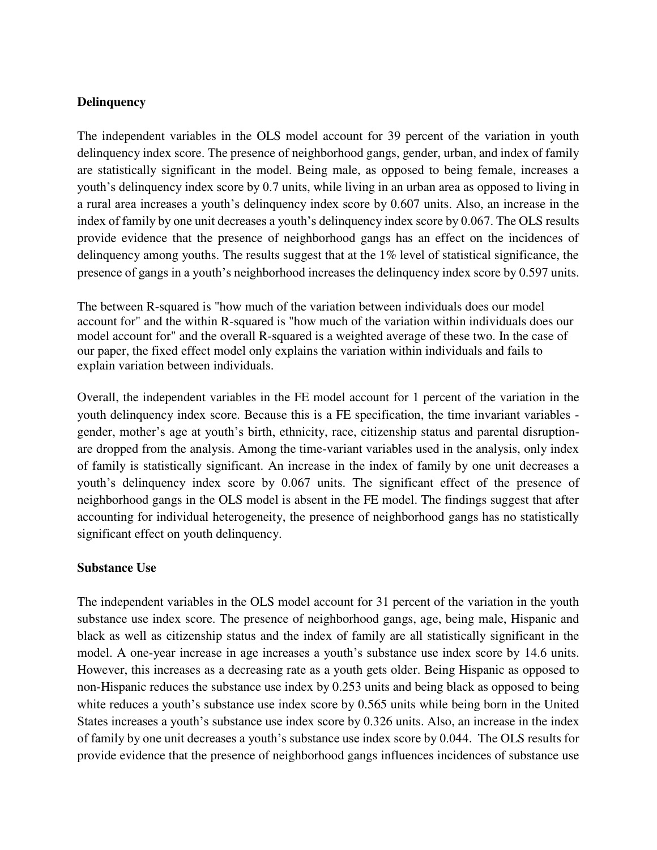## **Delinquency**

The independent variables in the OLS model account for 39 percent of the variation in youth delinquency index score. The presence of neighborhood gangs, gender, urban, and index of family are statistically significant in the model. Being male, as opposed to being female, increases a youth's delinquency index score by 0.7 units, while living in an urban area as opposed to living in a rural area increases a youth's delinquency index score by 0.607 units. Also, an increase in the index of family by one unit decreases a youth's delinquency index score by 0.067. The OLS results provide evidence that the presence of neighborhood gangs has an effect on the incidences of delinquency among youths. The results suggest that at the  $1\%$  level of statistical significance, the presence of gangs in a youth's neighborhood increases the delinquency index score by 0.597 units.

The between R-squared is "how much of the variation between individuals does our model account for" and the within R-squared is "how much of the variation within individuals does our model account for" and the overall R-squared is a weighted average of these two. In the case of our paper, the fixed effect model only explains the variation within individuals and fails to explain variation between individuals.

Overall, the independent variables in the FE model account for 1 percent of the variation in the youth delinquency index score. Because this is a FE specification, the time invariant variables gender, mother's age at youth's birth, ethnicity, race, citizenship status and parental disruptionare dropped from the analysis. Among the time-variant variables used in the analysis, only index of family is statistically significant. An increase in the index of family by one unit decreases a youth's delinquency index score by 0.067 units. The significant effect of the presence of neighborhood gangs in the OLS model is absent in the FE model. The findings suggest that after accounting for individual heterogeneity, the presence of neighborhood gangs has no statistically significant effect on youth delinquency.

#### **Substance Use**

The independent variables in the OLS model account for 31 percent of the variation in the youth substance use index score. The presence of neighborhood gangs, age, being male, Hispanic and black as well as citizenship status and the index of family are all statistically significant in the model. A one-year increase in age increases a youth's substance use index score by 14.6 units. However, this increases as a decreasing rate as a youth gets older. Being Hispanic as opposed to non-Hispanic reduces the substance use index by 0.253 units and being black as opposed to being white reduces a youth's substance use index score by 0.565 units while being born in the United States increases a youth's substance use index score by 0.326 units. Also, an increase in the index of family by one unit decreases a youth's substance use index score by 0.044. The OLS results for provide evidence that the presence of neighborhood gangs influences incidences of substance use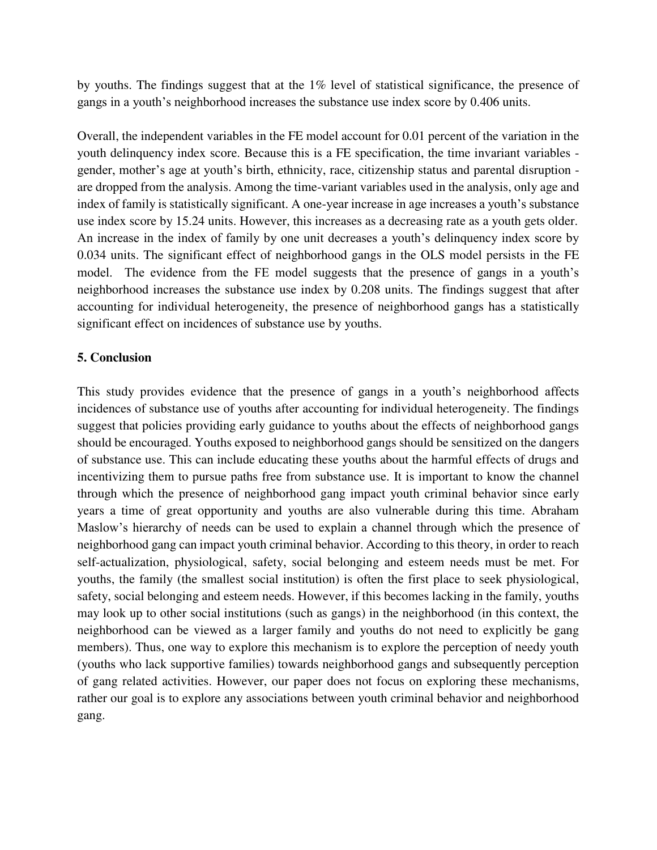by youths. The findings suggest that at the 1% level of statistical significance, the presence of gangs in a youth's neighborhood increases the substance use index score by 0.406 units.

Overall, the independent variables in the FE model account for 0.01 percent of the variation in the youth delinquency index score. Because this is a FE specification, the time invariant variables gender, mother's age at youth's birth, ethnicity, race, citizenship status and parental disruption are dropped from the analysis. Among the time-variant variables used in the analysis, only age and index of family is statistically significant. A one-year increase in age increases a youth's substance use index score by 15.24 units. However, this increases as a decreasing rate as a youth gets older. An increase in the index of family by one unit decreases a youth's delinquency index score by 0.034 units. The significant effect of neighborhood gangs in the OLS model persists in the FE model. The evidence from the FE model suggests that the presence of gangs in a youth's neighborhood increases the substance use index by 0.208 units. The findings suggest that after accounting for individual heterogeneity, the presence of neighborhood gangs has a statistically significant effect on incidences of substance use by youths.

## **5. Conclusion**

This study provides evidence that the presence of gangs in a youth's neighborhood affects incidences of substance use of youths after accounting for individual heterogeneity. The findings suggest that policies providing early guidance to youths about the effects of neighborhood gangs should be encouraged. Youths exposed to neighborhood gangs should be sensitized on the dangers of substance use. This can include educating these youths about the harmful effects of drugs and incentivizing them to pursue paths free from substance use. It is important to know the channel through which the presence of neighborhood gang impact youth criminal behavior since early years a time of great opportunity and youths are also vulnerable during this time. Abraham Maslow's hierarchy of needs can be used to explain a channel through which the presence of neighborhood gang can impact youth criminal behavior. According to this theory, in order to reach self-actualization, physiological, safety, social belonging and esteem needs must be met. For youths, the family (the smallest social institution) is often the first place to seek physiological, safety, social belonging and esteem needs. However, if this becomes lacking in the family, youths may look up to other social institutions (such as gangs) in the neighborhood (in this context, the neighborhood can be viewed as a larger family and youths do not need to explicitly be gang members). Thus, one way to explore this mechanism is to explore the perception of needy youth (youths who lack supportive families) towards neighborhood gangs and subsequently perception of gang related activities. However, our paper does not focus on exploring these mechanisms, rather our goal is to explore any associations between youth criminal behavior and neighborhood gang.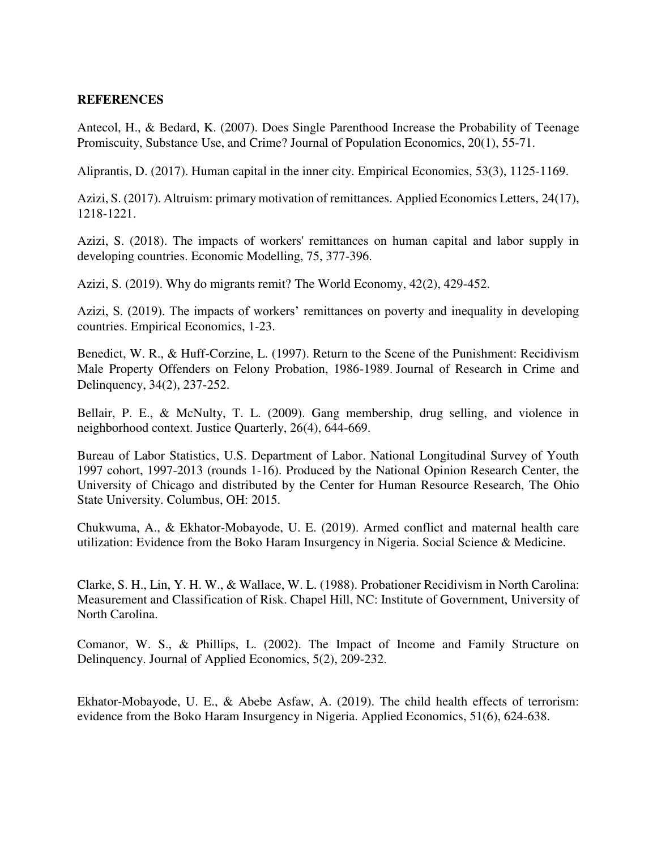#### **REFERENCES**

Antecol, H., & Bedard, K. (2007). Does Single Parenthood Increase the Probability of Teenage Promiscuity, Substance Use, and Crime? Journal of Population Economics, 20(1), 55-71.

Aliprantis, D. (2017). Human capital in the inner city. Empirical Economics, 53(3), 1125-1169.

Azizi, S. (2017). Altruism: primary motivation of remittances. Applied Economics Letters, 24(17), 1218-1221.

Azizi, S. (2018). The impacts of workers' remittances on human capital and labor supply in developing countries. Economic Modelling, 75, 377-396.

Azizi, S. (2019). Why do migrants remit? The World Economy, 42(2), 429-452.

Azizi, S. (2019). The impacts of workers' remittances on poverty and inequality in developing countries. Empirical Economics, 1-23.

Benedict, W. R., & Huff-Corzine, L. (1997). Return to the Scene of the Punishment: Recidivism Male Property Offenders on Felony Probation, 1986-1989. Journal of Research in Crime and Delinquency, 34(2), 237-252.

Bellair, P. E., & McNulty, T. L. (2009). Gang membership, drug selling, and violence in neighborhood context. Justice Quarterly, 26(4), 644-669.

Bureau of Labor Statistics, U.S. Department of Labor. National Longitudinal Survey of Youth 1997 cohort, 1997-2013 (rounds 1-16). Produced by the National Opinion Research Center, the University of Chicago and distributed by the Center for Human Resource Research, The Ohio State University. Columbus, OH: 2015.

Chukwuma, A., & Ekhator-Mobayode, U. E. (2019). Armed conflict and maternal health care utilization: Evidence from the Boko Haram Insurgency in Nigeria. Social Science & Medicine.

Clarke, S. H., Lin, Y. H. W., & Wallace, W. L. (1988). Probationer Recidivism in North Carolina: Measurement and Classification of Risk. Chapel Hill, NC: Institute of Government, University of North Carolina.

Comanor, W. S., & Phillips, L. (2002). The Impact of Income and Family Structure on Delinquency. Journal of Applied Economics, 5(2), 209-232.

Ekhator-Mobayode, U. E., & Abebe Asfaw, A. (2019). The child health effects of terrorism: evidence from the Boko Haram Insurgency in Nigeria. Applied Economics, 51(6), 624-638.